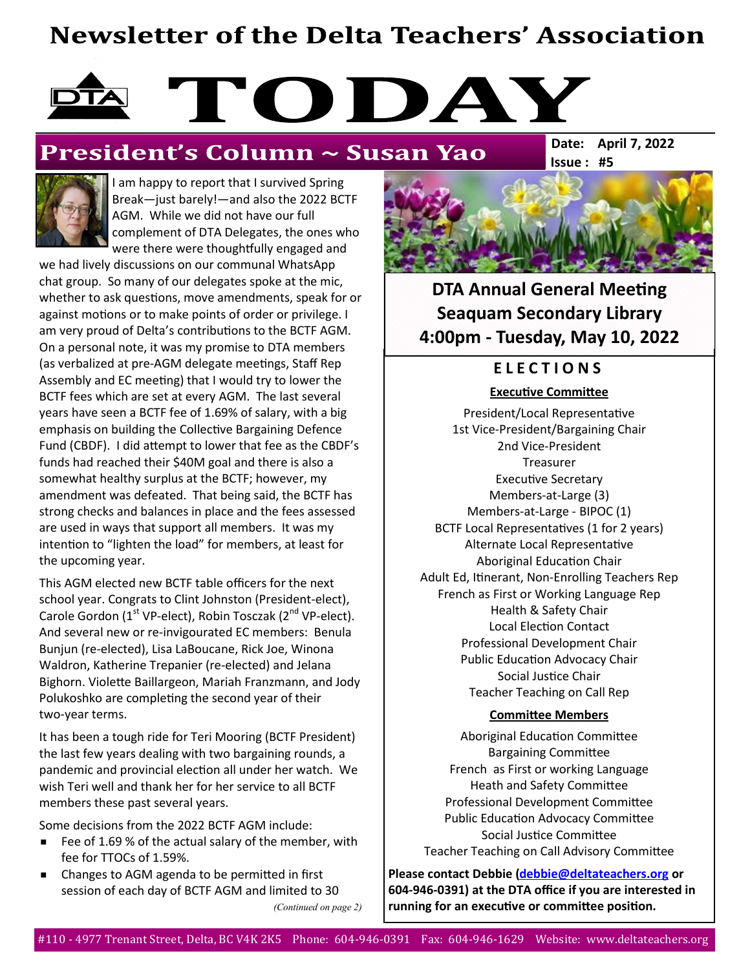# **Newsletter of the Delta Teachers' Association**

# TODAY

# President's Column ~ Susan Yao

**Issue : #5 Date: April 7, 2022**



I am happy to report that I survived Spring Break—just barely!—and also the 2022 BCTF AGM. While we did not have our full complement of DTA Delegates, the ones who were there were thoughtfully engaged and

we had lively discussions on our communal WhatsApp chat group. So many of our delegates spoke at the mic, whether to ask questions, move amendments, speak for or against motions or to make points of order or privilege. I am very proud of Delta's contributions to the BCTF AGM. On a personal note, it was my promise to DTA members (as verbalized at pre-AGM delegate meetings, Staff Rep Assembly and EC meeting) that I would try to lower the BCTF fees which are set at every AGM. The last several years have seen a BCTF fee of 1.69% of salary, with a big emphasis on building the Collective Bargaining Defence Fund (CBDF). I did attempt to lower that fee as the CBDF's funds had reached their \$40M goal and there is also a somewhat healthy surplus at the BCTF; however, my amendment was defeated. That being said, the BCTF has strong checks and balances in place and the fees assessed are used in ways that support all members. It was my intention to "lighten the load" for members, at least for the upcoming year.

This AGM elected new BCTF table officers for the next school year. Congrats to Clint Johnston (President-elect), Carole Gordon ( $1<sup>st</sup>$  VP-elect), Robin Tosczak ( $2<sup>nd</sup>$  VP-elect). And several new or re-invigourated EC members: Benula Bunjun (re-elected), Lisa LaBoucane, Rick Joe, Winona Waldron, Katherine Trepanier (re-elected) and Jelana Bighorn. Violette Baillargeon, Mariah Franzmann, and Jody Polukoshko are completing the second year of their two-year terms.

It has been a tough ride for Teri Mooring (BCTF President) the last few years dealing with two bargaining rounds, a pandemic and provincial election all under her watch. We wish Teri well and thank her for her service to all BCTF members these past several years.

Some decisions from the 2022 BCTF AGM include:

- Fee of 1.69 % of the actual salary of the member, with fee for TTOCs of 1.59%.
- Changes to AGM agenda to be permitted in first session of each day of BCTF AGM and limited to 30 *(Continued on page 2)*



**DTA Annual General Meeting Seaquam Secondary Library 4:00pm - Tuesday, May 10, 2022**

## **E L E C T I O N S**

**Executive Committee** 

President/Local Representative 1st Vice-President/Bargaining Chair 2nd Vice-President Treasurer Executive Secretary Members-at-Large (3) Members-at-Large - BIPOC (1) BCTF Local Representatives (1 for 2 years) Alternate Local Representative Aboriginal Education Chair Adult Ed, Itinerant, Non-Enrolling Teachers Rep French as First or Working Language Rep Health & Safety Chair Local Election Contact Professional Development Chair Public Education Advocacy Chair Social Justice Chair Teacher Teaching on Call Rep

#### **Committee Members**

Aboriginal Education Committee Bargaining Committee French as First or working Language Heath and Safety Committee Professional Development Committee Public Education Advocacy Committee Social Justice Committee Teacher Teaching on Call Advisory Committee

**Please contact Debbie [\(debbie@deltateachers.org](mailto:debbie@deltateachers.org) or 604-946-0391) at the DTA office if you are interested in running for an executive or committee position.**